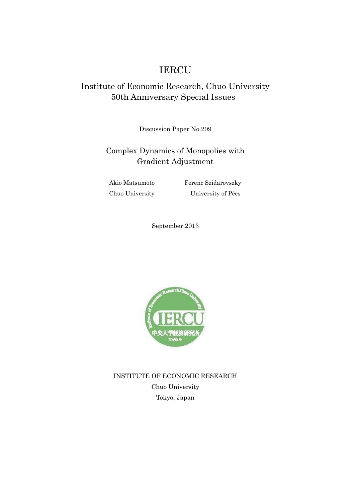# IERCU

## Institute of Economic Research, Chuo University 50th Anniversary Special Issues

Discussion Paper No.209

## Complex Dynamics of Monopolies with Gradient Adjustment

Akio Matsumoto Ferenc Szidarovszky Chuo University University of Pécs

September 2013



INSTITUTE OF ECONOMIC RESEARCH Chuo University Tokyo, Japan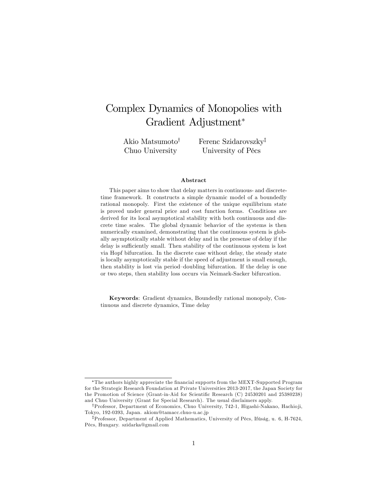# Complex Dynamics of Monopolies with Gradient Adjustment

Akio Matsumoto<sup>†</sup> Chuo University

Ferenc Szidarovszky<sup>‡</sup> University of Pécs

#### Abstract

This paper aims to show that delay matters in continuous- and discretetime framework. It constructs a simple dynamic model of a boundedly rational monopoly. First the existence of the unique equilibrium state is proved under general price and cost function forms. Conditions are derived for its local asymptotical stability with both continuous and discrete time scales. The global dynamic behavior of the systems is then numerically examined, demonstrating that the continuous system is globally asymptotically stable without delay and in the presense of delay if the delay is sufficiently small. Then stability of the continuous system is lost via Hopf bifurcation. In the discrete case without delay, the steady state is locally asymptotically stable if the speed of adjustment is small enough, then stability is lost via period-doubling bifurcation. If the delay is one or two steps, then stability loss occurs via Neimark-Sacker bifurcation.

Keywords: Gradient dynamics, Boundedly rational monopoly, Continuous and discrete dynamics, Time delay

The authors highly appreciate the Önancial supports from the MEXT-Supported Program for the Strategic Research Foundation at Private Universities 2013-2017, the Japan Society for the Promotion of Science (Grant-in-Aid for Scientific Research (C) 24530201 and 25380238) and Chuo University (Grant for Special Research). The usual disclaimers apply.

<sup>&</sup>lt;sup>†</sup>Professor, Department of Economics, Chuo University, 742-1, Higashi-Nakano, Hachioji, Tokyo, 192-0393, Japan. akiom@tamacc.chuo-u.ac.jp

<sup>&</sup>lt;sup>‡</sup>Professor, Department of Applied Mathematics, University of Pécs, Ifúság, u. 6, H-7624, PÈcs, Hungary. szidarka@gmail.com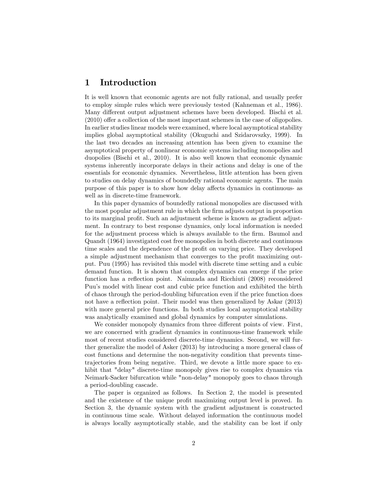## 1 Introduction

It is well known that economic agents are not fully rational, and usually prefer to employ simple rules which were previously tested (Kahneman et al., 1986). Many different output adjustment schemes have been developed. Bischi et al.  $(2010)$  offer a collection of the most important schemes in the case of oligopolies. In earlier studies linear models were examined, where local asymptotical stability implies global asymptotical stability (Okuguchi and Szidarovszky, 1999). In the last two decades an increasing attention has been given to examine the asymptotical property of nonlinear economic systems including monopolies and duopolies (Bischi et al., 2010). It is also well known that economic dynamic systems inherently incorporate delays in their actions and delay is one of the essentials for economic dynamics. Nevertheless, little attention has been given to studies on delay dynamics of boundedly rational economic agents. The main purpose of this paper is to show how delay affects dynamics in continuous- as well as in discrete-time framework.

In this paper dynamics of boundedly rational monopolies are discussed with the most popular adjustment rule in which the Örm adjusts output in proportion to its marginal profit. Such an adjustment scheme is known as gradient adjustment. In contrary to best response dynamics, only local information is needed for the adjustment process which is always available to the firm. Baumol and Quandt (1964) investigated cost free monopolies in both discrete and continuous time scales and the dependence of the profit on varying price. They developed a simple adjustment mechanism that converges to the profit maximizing output. Puu (1995) has revisited this model with discrete time setting and a cubic demand function. It is shown that complex dynamics can emerge if the price function has a reflection point. Naimzada and Ricchiuti (2008) reconsidered Puuís model with linear cost and cubic price function and exhibited the birth of chaos through the period-doubling bifurcation even if the price function does not have a reflection point. Their model was then generalized by Askar (2013) with more general price functions. In both studies local asymptotical stability was analytically examined and global dynamics by computer simulations.

We consider monopoly dynamics from three different points of view. First, we are concerned with gradient dynamics in continuous-time framework while most of recent studies considered discrete-time dynamics. Second, we will further generalize the model of Asker (2013) by introducing a more general class of cost functions and determine the non-negativity condition that prevents timetrajectories from being negative. Third, we devote a little more space to exhibit that "delay" discrete-time monopoly gives rise to complex dynamics via Neimark-Sacker bifurcation while "non-delay" monopoly goes to chaos through a period-doubling cascade.

The paper is organized as follows. In Section 2, the model is presented and the existence of the unique profit maximizing output level is proved. In Section 3, the dynamic system with the gradient adjustment is constructed in continuous time scale. Without delayed information the continuous model is always locally asymptotically stable, and the stability can be lost if only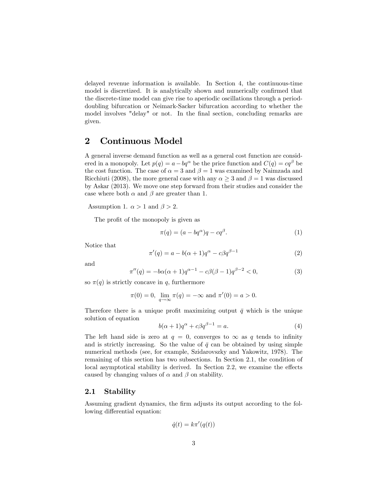delayed revenue information is available. In Section 4, the continuous-time model is discretized. It is analytically shown and numerically confirmed that the discrete-time model can give rise to aperiodic oscillations through a perioddoubling bifurcation or Neimark-Sacker bifurcation according to whether the model involves "delay" or not. In the final section, concluding remarks are given.

## 2 Continuous Model

A general inverse demand function as well as a general cost function are considered in a monopoly. Let  $p(q) = a - bq^{\alpha}$  be the price function and  $C(q) = cq^{\beta}$  be the cost function. The case of  $\alpha = 3$  and  $\beta = 1$  was examined by Naimzada and Ricchiuti (2008), the more general case with any  $\alpha > 3$  and  $\beta = 1$  was discussed by Askar (2013). We move one step forward from their studies and consider the case where both  $\alpha$  and  $\beta$  are greater than 1.

Assumption 1.  $\alpha > 1$  and  $\beta > 2$ .

The profit of the monopoly is given as

$$
\pi(q) = (a - bq^{\alpha})q - cq^{\beta}.
$$
\n(1)

Notice that

$$
\pi'(q) = a - b(\alpha + 1)q^{\alpha} - c\beta q^{\beta - 1} \tag{2}
$$

and

$$
\pi''(q) = -b\alpha(\alpha+1)q^{\alpha-1} - c\beta(\beta-1)q^{\beta-2} < 0,\tag{3}
$$

so  $\pi(q)$  is strictly concave in q, furthermore

$$
\pi(0) = 0
$$
,  $\lim_{q \to \infty} \pi(q) = -\infty$  and  $\pi'(0) = a > 0$ .

Therefore there is a unique profit maximizing output  $\bar{q}$  which is the unique solution of equation

$$
b(\alpha + 1)q^{\alpha} + c\beta q^{\beta - 1} = a.
$$
 (4)

The left hand side is zero at  $q = 0$ , converges to  $\infty$  as q tends to infinity and is strictly increasing. So the value of  $\bar{q}$  can be obtained by using simple numerical methods (see, for example, Szidarovszky and Yakowitz, 1978). The remaining of this section has two subsections. In Section 2.1, the condition of  $local$  asymptotical stability is derived. In Section 2.2, we examine the effects caused by changing values of  $\alpha$  and  $\beta$  on stability.

#### 2.1 Stability

Assuming gradient dynamics, the firm adjusts its output according to the following differential equation:

$$
\dot{q}(t) = k\pi'(q(t))
$$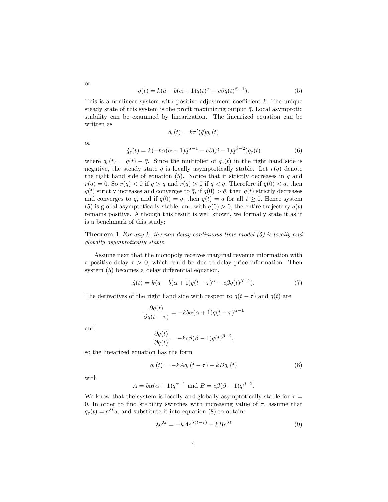$$
\dot{q}(t) = k(a - b(\alpha + 1)q(t)^{\alpha} - c\beta q(t)^{\beta - 1}).
$$
\n(5)

This is a nonlinear system with positive adjustment coefficient  $k$ . The unique steady state of this system is the profit maximizing output  $\bar{q}$ . Local asymptotic stability can be examined by linearization. The linearized equation can be written as

 $\dot{q}_{\varepsilon}(t) = k\pi'(\bar{q})q_{\varepsilon}(t)$ 

or

or

$$
\dot{q}_{\varepsilon}(t) = k(-b\alpha(\alpha+1)\bar{q}^{\alpha-1} - c\beta(\beta-1)\bar{q}^{\beta-2})q_{\varepsilon}(t)
$$
\n(6)

where  $q_{\varepsilon}(t) = q(t) - \bar{q}$ . Since the multiplier of  $q_{\varepsilon}(t)$  in the right hand side is negative, the steady state  $\bar{q}$  is locally asymptotically stable. Let  $r(q)$  denote the right hand side of equation  $(5)$ . Notice that it strictly decreases in q and  $r(\bar{q}) = 0$ . So  $r(q) < 0$  if  $q > \bar{q}$  and  $r(q) > 0$  if  $q < \bar{q}$ . Therefore if  $q(0) < \bar{q}$ , then  $q(t)$  strictly increases and converges to  $\bar{q}$ , if  $q(0) > \bar{q}$ , then  $q(t)$  strictly decreases and converges to  $\bar{q}$ , and if  $q(0) = \bar{q}$ , then  $q(t) = \bar{q}$  for all  $t \geq 0$ . Hence system (5) is global asymptotically stable, and with  $q(0) > 0$ , the entire trajectory  $q(t)$ remains positive. Although this result is well known, we formally state it as it is a benchmark of this study:

**Theorem 1** For any k, the non-delay continuous time model  $(5)$  is locally and globally asymptotically stable.

Assume next that the monopoly receives marginal revenue information with a positive delay  $\tau > 0$ , which could be due to delay price information. Then system  $(5)$  becomes a delay differential equation,

$$
\dot{q}(t) = k(a - b(\alpha + 1)q(t - \tau)^{\alpha} - c\beta q(t)^{\beta - 1}).
$$
\n(7)

The derivatives of the right hand side with respect to  $q(t - \tau)$  and  $q(t)$  are

$$
\frac{\partial \dot{q}(t)}{\partial q(t-\tau)} = -kb\alpha(\alpha+1)q(t-\tau)^{\alpha-1}
$$

and

$$
\frac{\partial \dot{q}(t)}{\partial q(t)} = -kc\beta(\beta - 1)q(t)^{\beta - 2}
$$

so the linearized equation has the form

$$
\dot{q}_{\varepsilon}(t) = -kAq_{\varepsilon}(t-\tau) - kBq_{\varepsilon}(t) \tag{8}
$$

;

with

$$
A = b\alpha(\alpha + 1)\overline{q}^{\alpha - 1} \text{ and } B = c\beta(\beta - 1)\overline{q}^{\beta - 2}.
$$

We know that the system is locally and globally asymptotically stable for  $\tau =$ 0. In order to find stability switches with increasing value of  $\tau$ , assume that  $q_{\varepsilon}(t) = e^{\lambda t}u$ , and substitute it into equation (8) to obtain:

$$
\lambda e^{\lambda t} = -k A e^{\lambda (t - \tau)} - k B e^{\lambda t} \tag{9}
$$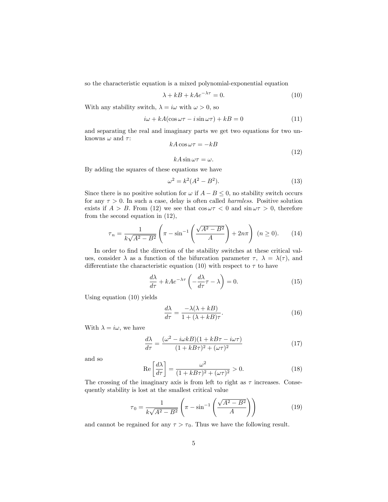so the characteristic equation is a mixed polynomial-exponential equation

$$
\lambda + kB + kAe^{-\lambda \tau} = 0. \tag{10}
$$

With any stability switch,  $\lambda = i\omega$  with  $\omega > 0$ , so

$$
i\omega + kA(\cos\omega\tau - i\sin\omega\tau) + kB = 0\tag{11}
$$

and separating the real and imaginary parts we get two equations for two unknowns  $\omega$  and  $\tau$ :

$$
kA\cos\omega\tau = -kB
$$
  
\n
$$
kA\sin\omega\tau = \omega.
$$
\n(12)

By adding the squares of these equations we have

$$
\omega^2 = k^2(A^2 - B^2). \tag{13}
$$

Since there is no positive solution for  $\omega$  if  $A - B \leq 0$ , no stability switch occurs for any  $\tau > 0$ . In such a case, delay is often called *harmless*. Positive solution exists if  $A > B$ . From (12) we see that  $\cos \omega \tau < 0$  and  $\sin \omega \tau > 0$ , therefore from the second equation in (12),

$$
\tau_n = \frac{1}{k\sqrt{A^2 - B^2}} \left( \pi - \sin^{-1} \left( \frac{\sqrt{A^2 - B^2}}{A} \right) + 2n\pi \right) \ (n \ge 0). \tag{14}
$$

In order to find the direction of the stability switches at these critical values, consider  $\lambda$  as a function of the bifurcation parameter  $\tau$ ,  $\lambda = \lambda(\tau)$ , and differentiate the characteristic equation (10) with respect to  $\tau$  to have

$$
\frac{d\lambda}{d\tau} + kAe^{-\lambda\tau} \left(-\frac{d\lambda}{d\tau}\tau - \lambda\right) = 0.
$$
 (15)

Using equation (10) yields

$$
\frac{d\lambda}{d\tau} = \frac{-\lambda(\lambda + kB)}{1 + (\lambda + kB)\tau}.\tag{16}
$$

With  $\lambda = i\omega$ , we have

$$
\frac{d\lambda}{d\tau} = \frac{(\omega^2 - i\omega kB)(1 + kB\tau - i\omega\tau)}{(1 + kB\tau)^2 + (\omega\tau)^2}
$$
(17)

and so

$$
\operatorname{Re}\left[\frac{d\lambda}{d\tau}\right] = \frac{\omega^2}{(1 + kB\tau)^2 + (\omega\tau)^2} > 0.
$$
 (18)

The crossing of the imaginary axis is from left to right as  $\tau$  increases. Consequently stability is lost at the smallest critical value

$$
\tau_0 = \frac{1}{k\sqrt{A^2 - B^2}} \left( \pi - \sin^{-1} \left( \frac{\sqrt{A^2 - B^2}}{A} \right) \right)
$$
(19)

and cannot be regained for any  $\tau > \tau_0$ . Thus we have the following result.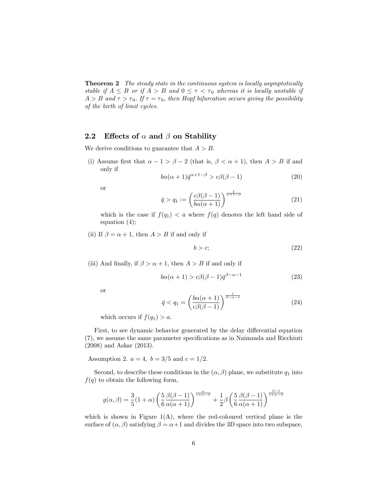**Theorem 2** The steady state in the continuous system is locally asymptotically stable if  $A \leq B$  or if  $A > B$  and  $0 \leq \tau < \tau_0$  whereas it is locally unstable if  $A > B$  and  $\tau > \tau_0$ . If  $\tau = \tau_0$ , then Hopf bifurcation occurs giving the possibility of the birth of limit cycles.

#### 2.2 Effects of  $\alpha$  and  $\beta$  on Stability

We derive conditions to guarantee that  $A > B$ .

(i) Assume first that  $\alpha - 1 > \beta - 2$  (that is,  $\beta < \alpha + 1$ ), then  $A > B$  if and only if

$$
b\alpha(\alpha+1)\bar{q}^{\alpha+1-\beta} > c\beta(\beta-1)
$$
\n(20)

or

$$
\bar{q} > q_1 := \left(\frac{c\beta(\beta - 1)}{b\alpha(\alpha + 1)}\right)^{\frac{1}{\alpha + 1 - \beta}}\tag{21}
$$

which is the case if  $f(q_1) < a$  where  $f(q)$  denotes the left hand side of equation (4);

(ii) If  $\beta = \alpha + 1$ , then  $A > B$  if and only if

$$
b > c; \tag{22}
$$

(iii) And finally, if  $\beta > \alpha + 1$ , then  $A > B$  if and only if

$$
b\alpha(\alpha+1) > c\beta(\beta-1)\bar{q}^{\beta-\alpha-1}
$$
\n(23)

or

$$
\bar{q} < q_1 = \left(\frac{b\alpha(\alpha+1)}{c\beta(\beta-1)}\right)^{\frac{1}{\beta-\alpha-1}}\tag{24}
$$

which occurs if  $f(q_1) > a$ .

First, to see dynamic behavior generated by the delay differential equation (7), we assume the same parameter specifications as in Naimzada and Ricchiuti (2008) and Askar (2013).

Assumption 2.  $a = 4$ ,  $b = 3/5$  and  $c = 1/2$ .

Second, to describe these conditions in the  $(\alpha, \beta)$  plane, we substitute  $q_1$  into  $f(q)$  to obtain the following form,

$$
g(\alpha, \beta) = \frac{3}{5}(1+\alpha)\left(\frac{5}{6}\frac{\beta(\beta-1)}{\alpha(\alpha+1)}\right)^{\frac{\alpha}{1+\alpha-\beta}} + \frac{1}{2}\beta\left(\frac{5}{6}\frac{\beta(\beta-1)}{\alpha(\alpha+1)}\right)^{\frac{\beta-1}{1+\alpha-\beta}}
$$

which is shown in Figure  $1(A)$ , where the red-coloured vertical plane is the surface of  $(\alpha, \beta)$  satisfying  $\beta = \alpha + 1$  and divides the 3D space into two subspace,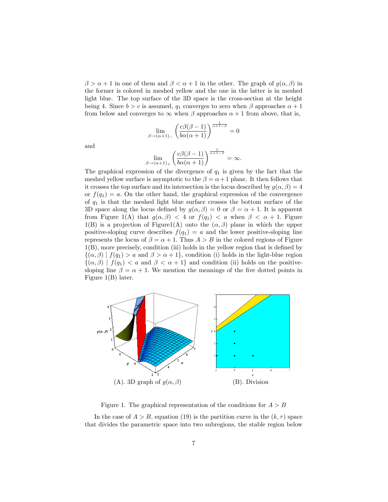$\beta > \alpha + 1$  in one of them and  $\beta < \alpha + 1$  in the other. The graph of  $g(\alpha, \beta)$  in the former is colored in meshed yellow and the one in the latter is in meshed light blue. The top surface of the 3D space is the cross-section at the height being 4. Since  $b > c$  is assumed,  $q_1$  converges to zero when  $\beta$  approaches  $\alpha + 1$ from below and converges to  $\infty$  when  $\beta$  approaches  $\alpha + 1$  from above, that is,

$$
\lim_{\beta \to (\alpha+1)_-} \left( \frac{c\beta(\beta-1)}{b\alpha(\alpha+1)} \right)^{\frac{1}{\alpha+1-\beta}} = 0
$$

and

$$
\lim_{\beta \to (\alpha+1)_+} \left( \frac{c\beta(\beta-1)}{b\alpha(\alpha+1)} \right)^{\frac{1}{\alpha+1-\beta}} = \infty.
$$

The graphical expression of the divergence of  $q_1$  is given by the fact that the meshed yellow surface is asymptotic to the  $\beta = \alpha + 1$  plane. It then follows that it crosses the top surface and its intersection is the locus described by  $g(\alpha, \beta) = 4$ or  $f(q_1) = a$ . On the other hand, the graphical expression of the convergence of  $q_1$  is that the meshed light blue surface crosses the bottom surface of the 3D space along the locus defined by  $g(\alpha, \beta) = 0$  or  $\beta = \alpha + 1$ . It is apparent from Figure 1(A) that  $g(\alpha, \beta) < 4$  or  $f(q_1) < a$  when  $\beta < \alpha + 1$ . Figure 1(B) is a projection of Figure1(A) onto the  $(\alpha, \beta)$  plane in which the upper positive-sloping curve describes  $f(q_1) = a$  and the lower positive-sloping line represents the locus of  $\beta = \alpha + 1$ . Thus  $A > B$  in the colored regions of Figure  $1(B)$ , more precisely, condition (iii) holds in the yellow region that is defined by  $\{(\alpha,\beta) | f(q_1) > a \text{ and } \beta > \alpha + 1\},$  condition (i) holds in the light-blue region  $\{(\alpha,\beta) \mid f(q_1) < a \text{ and } \beta < \alpha + 1\}$  and condition (ii) holds on the positivesloping line  $\beta = \alpha + 1$ . We mention the meanings of the five dotted points in Figure 1(B) later.



Figure 1. The graphical representation of the conditions for  $A > B$ 

In the case of  $A > B$ , equation (19) is the partition curve in the  $(k, \tau)$  space that divides the parametric space into two subregions, the stable region below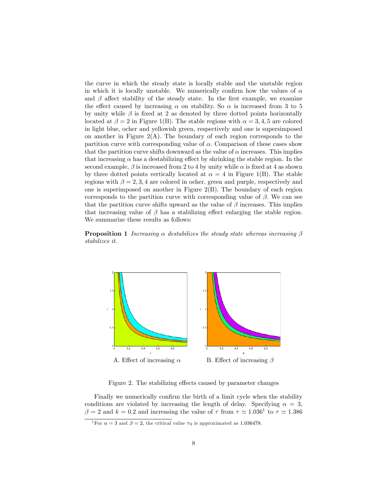the curve in which the steady state is locally stable and the unstable region in which it is locally unstable. We numerically confirm how the values of  $\alpha$ and  $\beta$  affect stability of the steady state. In the first example, we examine the effect caused by increasing  $\alpha$  on stability. So  $\alpha$  is increased from 3 to 5 by unity while  $\beta$  is fixed at 2 as denoted by three dotted points horizontally located at  $\beta = 2$  in Figure 1(B). The stable regions with  $\alpha = 3, 4, 5$  are colored in light blue, ocher and yellowish green, respectively and one is supersimposed on another in Figure  $2(A)$ . The boundary of each region corresponds to the partition curve with corresponding value of  $\alpha$ . Comparison of these cases show that the partition curve shifts downward as the value of  $\alpha$  increases. This implies that increasing  $\alpha$  has a destabilizing effect by shrinking the stable region. In the second example,  $\beta$  is increased from 2 to 4 by unity while  $\alpha$  is fixed at 4 as shown by three dotted points vertically located at  $\alpha = 4$  in Figure 1(B). The stable regions with  $\beta = 2, 3, 4$  are colored in ocher, green and purple, respectively and one is superimposed on another in Figure 2(B). The boundary of each region corresponds to the partition curve with corresponding value of  $\beta$ . We can see that the partition curve shifts upward as the value of  $\beta$  increases. This implies that increasing value of  $\beta$  has a stabilizing effect enlarging the stable region. We summarize these results as follows:

**Proposition 1** Increasing  $\alpha$  destabilizes the steady state whereas increasing  $\beta$ stabilizes it.



Figure 2. The stabilizing effects caused by parameter changes

Finally we numerically confirm the birth of a limit cycle when the stability conditions are violated by increasing the length of delay. Specifying  $\alpha = 3$ ,  $\beta = 2$  and  $k = 0.2$  and increasing the value of  $\tau$  from  $\tau \simeq 1.036^1$  to  $\tau \simeq 1.386$ 

<sup>&</sup>lt;sup>1</sup>For  $\alpha = 3$  and  $\beta = 2$ , the critical value  $\tau_0$  is approximated as 1.036478.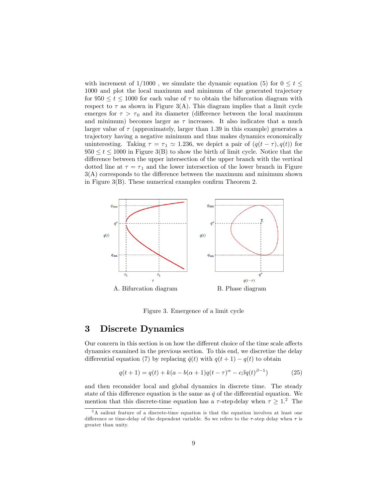with increment of  $1/1000$ , we simulate the dynamic equation (5) for  $0 \le t \le$ 1000 and plot the local maximum and minimum of the generated trajectory for  $950 \le t \le 1000$  for each value of  $\tau$  to obtain the bifurcation diagram with respect to  $\tau$  as shown in Figure 3(A). This diagram implies that a limit cycle emerges for  $\tau > \tau_0$  and its diameter (difference between the local maximum and minimum) becomes larger as  $\tau$  increases. It also indicates that a much larger value of  $\tau$  (approximately, larger than 1.39 in this example) generates a trajectory having a negative minimum and thus makes dynamics economically uninteresting. Taking  $\tau = \tau_1 \approx 1.236$ , we depict a pair of  $(q(t - \tau), q(t))$  for  $950 \le t \le 1000$  in Figure 3(B) to show the birth of limit cycle. Notice that the difference between the upper intersection of the upper branch with the vertical dotted line at  $\tau = \tau_1$  and the lower intersection of the lower branch in Figure  $3(A)$  corresponds to the difference between the maximum and minimum shown in Figure  $3(B)$ . These numerical examples confirm Theorem 2.



Figure 3. Emergence of a limit cycle

### 3 Discrete Dynamics

Our concern in this section is on how the different choice of the time scale affects dynamics examined in the previous section. To this end, we discretize the delay differential equation (7) by replacing  $\dot{q}(t)$  with  $q(t + 1) - q(t)$  to obtain

$$
q(t+1) = q(t) + k(a - b(\alpha + 1)q(t - \tau)^{\alpha} - c\beta q(t)^{\beta - 1})
$$
 (25)

and then reconsider local and global dynamics in discrete time. The steady state of this difference equation is the same as  $\bar{q}$  of the differential equation. We mention that this discrete-time equation has a  $\tau$ -step delay when  $\tau \geq 1$ .<sup>2</sup> The

<sup>&</sup>lt;sup>2</sup>A sailent feature of a discrete-time equation is that the equation involves at least one difference or time-delay of the dependent variable. So we refere to the  $\tau$ -step delay when  $\tau$  is greater than unity.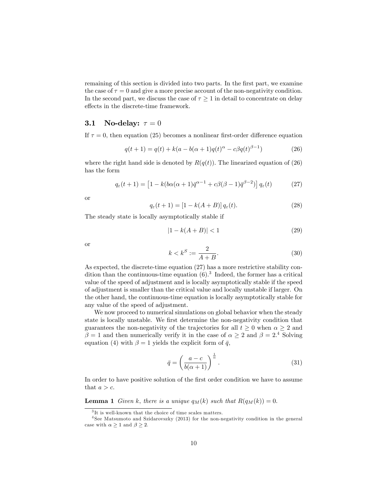remaining of this section is divided into two parts. In the first part, we examine the case of  $\tau = 0$  and give a more precise account of the non-negativity condition. In the second part, we discuss the case of  $\tau \geq 1$  in detail to concentrate on delay effects in the discrete-time framework.

#### 3.1 No-delay:  $\tau = 0$

If  $\tau = 0$ , then equation (25) becomes a nonlinear first-order difference equation

$$
q(t+1) = q(t) + k(a - b(\alpha + 1)q(t)^{\alpha} - c\beta q(t)^{\beta - 1})
$$
\n(26)

where the right hand side is denoted by  $R(q(t))$ . The linearized equation of (26) has the form

$$
q_{\varepsilon}(t+1) = \left[1 - k(b\alpha(\alpha+1)\bar{q}^{\alpha-1} + c\beta(\beta-1)\bar{q}^{\beta-2})\right]q_{\varepsilon}(t) \tag{27}
$$

or

$$
q_{\varepsilon}(t+1) = [1 - k(A+B)] q_{\varepsilon}(t). \tag{28}
$$

The steady state is locally asymptotically stable if

$$
|1 - k(A + B)| < 1\tag{29}
$$

or

$$
k < k^S := \frac{2}{A+B}.\tag{30}
$$

As expected, the discrete-time equation (27) has a more restrictive stability condition than the continuous-time equation  $(6)$ .<sup>3</sup> Indeed, the former has a critical value of the speed of adjustment and is locally asymptotically stable if the speed of adjustment is smaller than the critical value and locally unstable if larger. On the other hand, the continuous-time equation is locally asymptotically stable for any value of the speed of adjustment.

We now proceed to numerical simulations on global behavior when the steady state is locally unstable. We first determine the non-negativity condition that guarantees the non-negativity of the trajectories for all  $t \geq 0$  when  $\alpha \geq 2$  and  $\beta = 1$  and then numerically verify it in the case of  $\alpha \geq 2$  and  $\beta = 2^{4}$  Solving equation (4) with  $\beta = 1$  yields the explicit form of  $\bar{q}$ ,

$$
\bar{q} = \left(\frac{a-c}{b(\alpha+1)}\right)^{\frac{1}{\alpha}}.\tag{31}
$$

In order to have positive solution of the first order condition we have to assume that  $a > c$ .

**Lemma 1** Given k, there is a unique  $q_M(k)$  such that  $R(q_M(k)) = 0$ .

<sup>3</sup> It is well-known that the choice of time scales matters.

<sup>4</sup> See Matsumoto and Szidarovszky (2013) for the non-negativity condition in the general case with  $\alpha \geq 1$  and  $\beta \geq 2$ .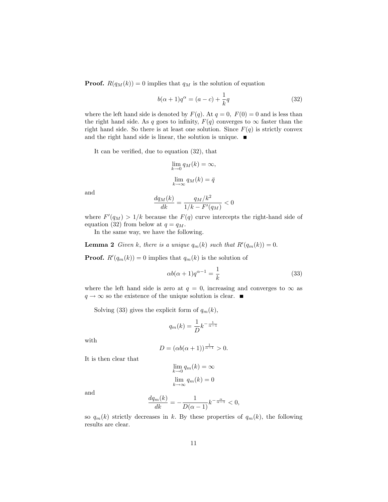**Proof.**  $R(q_M(k)) = 0$  implies that  $q_M$  is the solution of equation

$$
b(\alpha+1)q^{\alpha} = (a-c) + \frac{1}{k}q
$$
\n(32)

where the left hand side is denoted by  $F(q)$ . At  $q = 0$ ,  $F(0) = 0$  and is less than the right hand side. As q goes to infinity,  $F(q)$  converges to  $\infty$  faster than the right hand side. So there is at least one solution. Since  $F(q)$  is strictly convex and the right hand side is linear, the solution is unique.  $\blacksquare$ 

It can be verified, due to equation  $(32)$ , that

$$
\lim_{k \to 0} q_M(k) = \infty,
$$
  

$$
\lim_{k \to \infty} q_M(k) = \bar{q}
$$

and

$$
\frac{dq_M(k)}{dk} = \frac{q_M/k^2}{1/k - F'(q_M)} < 0
$$

where  $F'(q_M) > 1/k$  because the  $F(q)$  curve intercepts the right-hand side of equation (32) from below at  $q = q_M$ .

In the same way, we have the following.

**Lemma 2** Given k, there is a unique  $q_m(k)$  such that  $R'(q_m(k)) = 0$ .

**Proof.**  $R'(q_m(k)) = 0$  implies that  $q_m(k)$  is the solution of

$$
\alpha b(\alpha + 1)q^{\alpha - 1} = \frac{1}{k} \tag{33}
$$

where the left hand side is zero at  $q = 0$ , increasing and converges to  $\infty$  as  $q \to \infty$  so the existence of the unique solution is clear.

Solving (33) gives the explicit form of  $q_m(k)$ ,

$$
q_m(k) = \frac{1}{D}k^{-\frac{1}{\alpha - 1}}
$$

with

$$
D = (\alpha b(\alpha + 1))^{\frac{1}{\alpha - 1}} > 0.
$$

It is then clear that

$$
\lim_{k \to 0} q_m(k) = \infty
$$
  

$$
\lim_{k \to \infty} q_m(k) = 0
$$

and

$$
\frac{dq_m(k)}{dk} = -\frac{1}{D(\alpha - 1)}k^{-\frac{\alpha}{\alpha - 1}} < 0,
$$

so  $q_m(k)$  strictly decreases in k. By these properties of  $q_m(k)$ , the following results are clear.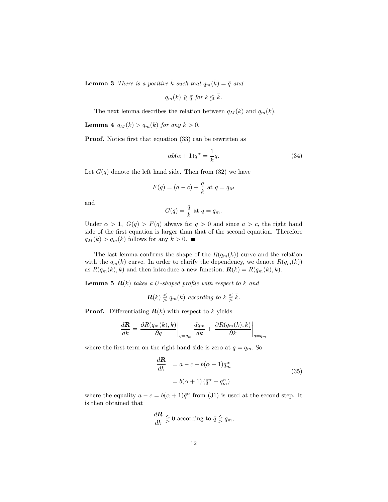**Lemma 3** There is a positive  $\bar{k}$  such that  $q_m(\bar{k}) = \bar{q}$  and

$$
q_m(k) \geqslant \bar{q} \text{ for } k \leqslant \bar{k}.
$$

The next lemma describes the relation between  $q_M(k)$  and  $q_m(k)$ .

**Lemma 4**  $q_M(k) > q_m(k)$  for any  $k > 0$ .

**Proof.** Notice first that equation (33) can be rewritten as

$$
\alpha b(\alpha+1)q^{\alpha} = \frac{1}{k}q.\tag{34}
$$

Let  $G(q)$  denote the left hand side. Then from  $(32)$  we have

$$
F(q) = (a - c) + \frac{q}{k}
$$
 at  $q = q_M$ 

and

$$
G(q) = \frac{q}{k} \text{ at } q = q_m.
$$

Under  $\alpha > 1$ ,  $G(q) > F(q)$  always for  $q > 0$  and since  $a > c$ , the right hand side of the first equation is larger than that of the second equation. Therefore  $q_M(k) > q_m(k)$  follows for any  $k > 0$ .

The last lemma confirms the shape of the  $R(q_m(k))$  curve and the relation with the  $q_m(k)$  curve. In order to clarify the dependency, we denote  $R(q_m(k))$ as  $R(q_m(k), k)$  and then introduce a new function,  $\mathbf{R}(k) = R(q_m(k), k)$ .

**Lemma 5 R(k)** takes a U-shaped profile with respect to k and

$$
\mathbf{R}(k) \leq q_m(k) \text{ according to } k \leq \bar{k}.
$$

**Proof.** Differentiating  $\mathbf{R}(k)$  with respect to k yields

$$
\frac{d\mathbf{R}}{dk} = \left. \frac{\partial R(q_m(k), k)}{\partial q} \right|_{q=q_m} \frac{dq_m}{dk} + \left. \frac{\partial R(q_m(k), k)}{\partial k} \right|_{q=q_m}
$$

where the first term on the right hand side is zero at  $q = q_m$ . So

$$
\frac{d\mathbf{R}}{dk} = a - c - b(\alpha + 1)q_m^{\alpha}
$$
\n
$$
= b(\alpha + 1)(\bar{q}^{\alpha} - q_m^{\alpha})
$$
\n(35)

where the equality  $a - c = b(\alpha + 1)\bar{q}^{\alpha}$  from (31) is used at the second step. It is then obtained that

$$
\frac{d\mathbf{R}}{dk} \lesseqgtr 0
$$
 according to  $\bar{q} \lesssim q_m$ ,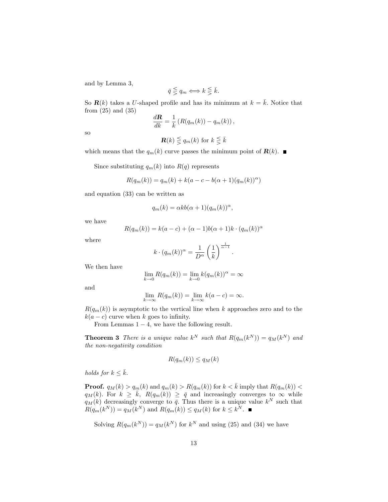and by Lemma 3,

$$
\bar{q} \lesseqgtr q_m \Longleftrightarrow k \lesseqqgtr \bar{k}.
$$

So  $\mathbf{R}(k)$  takes a U-shaped profile and has its minimum at  $k = \overline{k}$ . Notice that from (25) and (35)

$$
\frac{d\mathbf{R}}{dk} = \frac{1}{k} \left( R(q_m(k)) - q_m(k) \right),
$$

so

$$
\mathbf{R}(k) \lesseqqgtr q_m(k) \text{ for } k \lesssim \bar{k}
$$

which means that the  $q_m(k)$  curve passes the minimum point of  $\mathbf{R}(k)$ .

Since substituting  $q_m(k)$  into  $R(q)$  represents

$$
R(q_m(k)) = q_m(k) + k(a - c - b(\alpha + 1)(q_m(k))^{\alpha})
$$

and equation (33) can be written as

$$
q_m(k) = \alpha k b(\alpha + 1)(q_m(k))^{\alpha},
$$

we have

$$
R(q_m(k)) = k(a-c) + (\alpha - 1)b(\alpha + 1)k \cdot (q_m(k))^{\alpha}
$$

where

$$
k \cdot (q_m(k))^{\alpha} = \frac{1}{D^{\alpha}} \left(\frac{1}{k}\right)^{\frac{1}{\alpha - 1}}
$$

:

We then have

$$
\lim_{k \to 0} R(q_m(k)) = \lim_{k \to 0} k(q_m(k))^{\alpha} = \infty
$$

and

$$
\lim_{k \to \infty} R(q_m(k)) = \lim_{k \to \infty} k(a - c) = \infty.
$$

 $R(q_m(k))$  is asymptotic to the vertical line when k approaches zero and to the  $k(a - c)$  curve when k goes to infinity.

From Lemmas  $1 - 4$ , we have the following result.

**Theorem 3** There is a unique value  $k^N$  such that  $R(q_m(k^N)) = q_M(k^N)$  and the non-negativity condition

$$
R(q_m(k)) \le q_M(k)
$$

holds for  $k \leq \overline{k}$ .

**Proof.**  $q_M(k) > q_m(k)$  and  $q_m(k) > R(q_m(k))$  for  $k < \bar{k}$  imply that  $R(q_m(k))$  <  $q_M(k)$ . For  $k \geq \overline{k}$ ,  $R(q_m(k)) \geq \overline{q}$  and increasingly converges to  $\infty$  while  $q_M(k)$  decreasingly converge to  $\bar{q}$ . Thus there is a unique value  $k^N$  such that  $R(q_m(k^N)) = q_M(k^N)$  and  $R(q_m(k)) \le q_M(k)$  for  $k \le k^N$ .

Solving  $R(q_m(k^N)) = q_M(k^N)$  for  $k^N$  and using (25) and (34) we have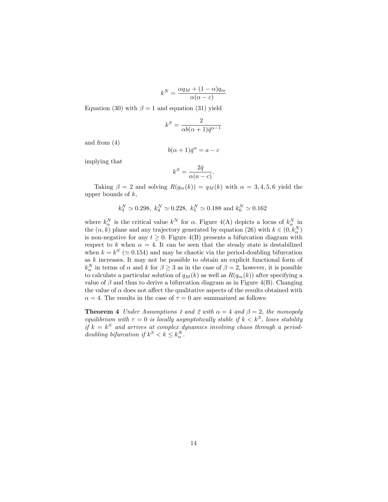$$
k^N = \frac{\alpha q_M + (1 - \alpha) q_m}{\alpha(\alpha - c)}
$$

Equation (30) with  $\beta = 1$  and equation (31) yield

$$
k^S = \frac{2}{\alpha b(\alpha+1)\bar{q}^{\alpha-1}}
$$

and from (4)

$$
b(\alpha + 1)\bar{q}^{\alpha} = a - c
$$

implying that

$$
k^S = \frac{2\bar{q}}{\alpha(a-c)}.
$$

Taking  $\beta = 2$  and solving  $R(q_m(k)) = q_M(k)$  with  $\alpha = 3, 4, 5, 6$  yield the upper bounds of  $k$ ,

$$
k_3^N \simeq 0.298
$$
,  $k_4^N \simeq 0.228$ ,  $k_5^N \simeq 0.188$  and  $k_6^N \simeq 0.162$ 

where  $k_{\alpha}^{N}$  is the critical value  $k^{N}$  for  $\alpha$ . Figure 4(A) depicts a locus of  $k_{\alpha}^{N}$  in the  $(\alpha, k)$  plane and any trajectory generated by equation (26) with  $k \in (0, k_{\alpha}^{N})$ is non-negative for any  $t \geq 0$ . Figure 4(B) presents a bifurcation diagram with respect to k when  $\alpha = 4$ . It can be seen that the steady state is destabilized when  $k = k^S$  ( $\simeq 0.154$ ) and may be chaotic via the period-doubling bifurcation as k increases. It may not be possible to obtain an explicit functional form of  $k_{\alpha}^N$  in terms of  $\alpha$  and  $k$  for  $\beta \geq 3$  as in the case of  $\beta = 2$ , however, it is possible to calculate a particular solution of  $q_M(k)$  as well as  $R(q_m(k))$  after specifying a value of  $\beta$  and thus to derive a bifurcation diagram as in Figure 4(B). Changing the value of  $\alpha$  does not affect the qualitative aspects of the results obtained with  $\alpha = 4$ . The results in the case of  $\tau = 0$  are summarized as follows:

**Theorem 4** Under Assumptions 1 and 2 with  $\alpha = 4$  and  $\beta = 2$ , the monopoly equilibrium with  $\tau = 0$  is locally asymptotically stable if  $k < k^S$ , loses stability if  $k = k^S$  and arrives at complex dynamics involving chaos through a perioddoubling bifurcation if  $k^S < k \leq k^N_\alpha$ .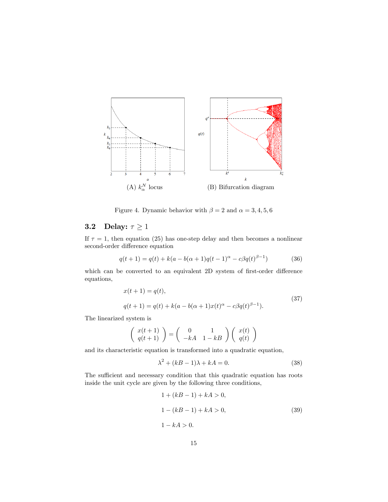

Figure 4. Dynamic behavior with  $\beta = 2$  and  $\alpha = 3, 4, 5, 6$ 

## 3.2 Delay:  $\tau \geq 1$

If  $\tau = 1$ , then equation (25) has one-step delay and then becomes a nonlinear second-order difference equation

$$
q(t+1) = q(t) + k(a - b(\alpha + 1)q(t-1)^{\alpha} - c\beta q(t)^{\beta - 1})
$$
 (36)

which can be converted to an equivalent 2D system of first-order difference equations,

$$
x(t+1) = q(t),
$$
  
\n
$$
q(t+1) = q(t) + k(a - b(\alpha + 1)x(t)^{\alpha} - c\beta q(t)^{\beta - 1}).
$$
\n(37)

The linearized system is

$$
\left(\begin{array}{c} x(t+1) \\ q(t+1) \end{array}\right) = \left(\begin{array}{cc} 0 & 1 \\ -kA & 1-kB \end{array}\right) \left(\begin{array}{c} x(t) \\ q(t) \end{array}\right)
$$

and its characteristic equation is transformed into a quadratic equation,

$$
\lambda^2 + (kB - 1)\lambda + kA = 0.
$$
\n(38)

The sufficient and necessary condition that this quadratic equation has roots inside the unit cycle are given by the following three conditions,

$$
1 + (kB - 1) + kA > 0,
$$
  
\n
$$
1 - (kB - 1) + kA > 0,
$$
  
\n
$$
1 - kA > 0.
$$
\n(39)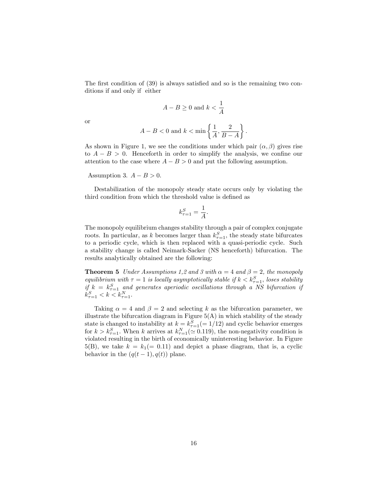The first condition of  $(39)$  is always satisfied and so is the remaining two conditions if and only if either

$$
A - B \ge 0 \text{ and } k < \frac{1}{A}
$$

or

$$
A - B < 0 \text{ and } k < \min\left\{\frac{1}{A}, \frac{2}{B - A}\right\}.
$$

As shown in Figure 1, we see the conditions under which pair  $(\alpha, \beta)$  gives rise to  $A - B > 0$ . Henceforth in order to simplify the analysis, we confine our attention to the case where  $A - B > 0$  and put the following assumption.

Assumption 3.  $A - B > 0$ .

Destabilization of the monopoly steady state occurs only by violating the third condition from which the threshold value is defined as

$$
k_{\tau=1}^S = \frac{1}{A}.
$$

The monopoly equilibrium changes stability through a pair of complex conjugate roots. In particular, as k becomes larger than  $k_{\tau=1}^S$ , the steady state bifurcates to a periodic cycle, which is then replaced with a quasi-periodic cycle. Such a stability change is called Neimark-Sacker (NS henceforth) bifurcation. The results analytically obtained are the following:

**Theorem 5** Under Assumptions 1,2 and 3 with  $\alpha = 4$  and  $\beta = 2$ , the monopoly equilibrium with  $\tau = 1$  is locally asymptotically stable if  $k < k_{\tau=1}^S$ , loses stability if  $k = k_{\tau=1}^S$  and generates aperiodic oscillations through a NS bifurcation if  $k_{\tau=1}^S < k < k_{\tau=1}^N$ .

Taking  $\alpha = 4$  and  $\beta = 2$  and selecting k as the bifurcation parameter, we illustrate the bifurcation diagram in Figure  $5(A)$  in which stability of the steady state is changed to instability at  $k = k_{\tau=1}^{S} (= 1/12)$  and cyclic behavior emerges for  $k > k_{\tau=1}^S$ . When k arrives at  $k_{\tau=1}^N (\simeq 0.119)$ , the non-negativity condition is violated resulting in the birth of economically uninteresting behavior. In Figure 5(B), we take  $k = k_1 (= 0.11)$  and depict a phase diagram, that is, a cyclic behavior in the  $(q(t-1), q(t))$  plane.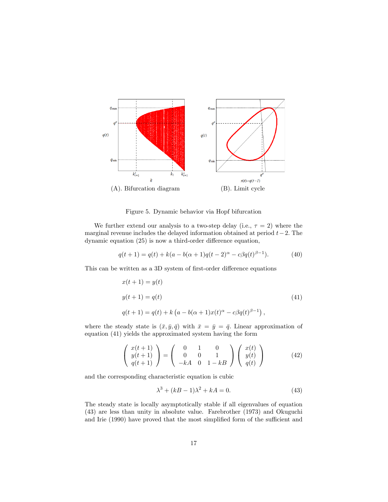

Figure 5. Dynamic behavior via Hopf bifurcation

We further extend our analysis to a two-step delay (i.e.,  $\tau = 2$ ) where the marginal revenue includes the delayed information obtained at period  $t-2$ . The dynamic equation  $(25)$  is now a third-order difference equation,

$$
q(t+1) = q(t) + k(a - b(\alpha + 1)q(t-2)^{\alpha} - c\beta q(t)^{\beta - 1}).
$$
 (40)

This can be written as a 3D system of first-order difference equations

$$
x(t + 1) = y(t)
$$
  
\n
$$
y(t + 1) = q(t)
$$
  
\n
$$
q(t + 1) = q(t) + k (a - b(\alpha + 1)x(t)^{\alpha} - c\beta q(t)^{\beta - 1}),
$$
\n(41)

where the steady state is  $(\bar{x}, \bar{y}, \bar{q})$  with  $\bar{x} = \bar{y} = \bar{q}$ . Linear approximation of equation (41) yields the approximated system having the form

$$
\begin{pmatrix} x(t+1) \\ y(t+1) \\ q(t+1) \end{pmatrix} = \begin{pmatrix} 0 & 1 & 0 \\ 0 & 0 & 1 \\ -kA & 0 & 1 - kB \end{pmatrix} \begin{pmatrix} x(t) \\ y(t) \\ q(t) \end{pmatrix}
$$
(42)

and the corresponding characteristic equation is cubic

$$
\lambda^3 + (kB - 1)\lambda^2 + kA = 0.
$$
\n(43)

The steady state is locally asymptotically stable if all eigenvalues of equation (43) are less than unity in absolute value. Farebrother (1973) and Okuguchi and Irie (1990) have proved that the most simplified form of the sufficient and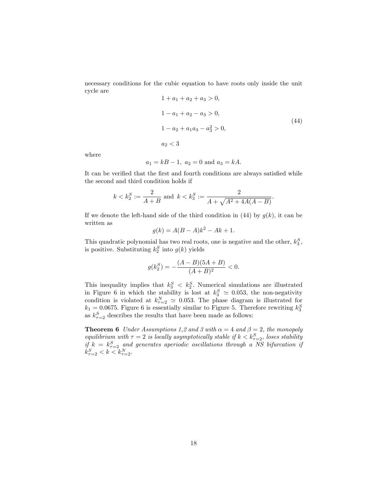necessary conditions for the cubic equation to have roots only inside the unit cycle are  $1 + a_1 + a_2 + a_3 > 0$ 

$$
1 + a_1 + a_2 + a_3 > 0,
$$
\n
$$
1 - a_1 + a_2 - a_3 > 0,
$$
\n
$$
1 - a_2 + a_1 a_3 - a_3^2 > 0,
$$
\n
$$
a_2 < 3
$$
\n
$$
(44)
$$

:

where

$$
a_1 = kB - 1
$$
,  $a_2 = 0$  and  $a_3 = kA$ .

It can be verified that the first and fourth conditions are always satisfied while the second and third condition holds if

$$
k < k_2^S := \frac{2}{A+B}
$$
 and  $k < k_3^S := \frac{2}{A + \sqrt{A^2 + 4A(A-B)}}$ 

If we denote the left-hand side of the third condition in (44) by  $g(k)$ , it can be written as

$$
g(k) = A(B - A)k^2 - Ak + 1.
$$

This quadratic polynomial has two real roots, one is negative and the other,  $k_3^S$ , is positive. Substituting  $k_2^S$  into  $g(k)$  yields

$$
g(k_2^S) = -\frac{(A-B)(5A+B)}{(A+B)^2} < 0.
$$

This inequality implies that  $k_3^S < k_2^S$ . Numerical simulations are illustrated in Figure 6 in which the stability is lost at  $k_3^S \simeq 0.053$ , the non-negativity condition is violated at  $k_{\tau=2}^{N} \simeq 0.053$ . The phase diagram is illustrated for  $k_1 = 0.0675$ . Figure 6 is essentially similar to Figure 5. Therefore rewriting  $k_3^S$ as  $k_{\tau=2}^{S}$  describes the results that have been made as follows:

**Theorem 6** Under Assumptions 1,2 and 3 with  $\alpha = 4$  and  $\beta = 2$ , the monopoly equilibrium with  $\tau = 2$  is locally asymptotically stable if  $k < k_{\tau=2}^S$ , loses stability if  $k = k_{\tau=2}^S$  and generates aperiodic oscillations through a NS bifurcation if  $k_{\tau=2}^S < k < k_{\tau=2}^N$ .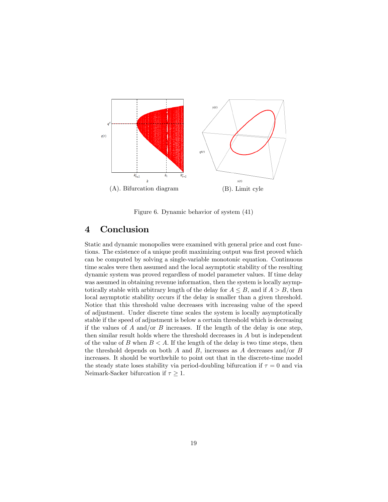

Figure 6. Dynamic behavior of system (41)

### 4 Conclusion

Static and dynamic monopolies were examined with general price and cost functions. The existence of a unique profit maximizing output was first proved which can be computed by solving a single-variable monotonic equation. Continuous time scales were then assumed and the local asymptotic stability of the resulting dynamic system was proved regardless of model parameter values. If time delay was assumed in obtaining revenue information, then the system is locally asymptotically stable with arbitrary length of the delay for  $A \leq B$ , and if  $A > B$ , then local asymptotic stability occurs if the delay is smaller than a given threshold. Notice that this threshold value decreases with increasing value of the speed of adjustment. Under discrete time scales the system is locally asymptotically stable if the speed of adjustment is below a certain threshold which is decreasing if the values of  $A$  and/or  $B$  increases. If the length of the delay is one step, then similar result holds where the threshold decreases in A but is independent of the value of B when  $B < A$ . If the length of the delay is two time steps, then the threshold depends on both  $A$  and  $B$ , increases as  $A$  decreases and/or  $B$ increases. It should be worthwhile to point out that in the discrete-time model the steady state loses stability via period-doubling bifurcation if  $\tau = 0$  and via Neimark-Sacker bifurcation if  $\tau \geq 1$ .